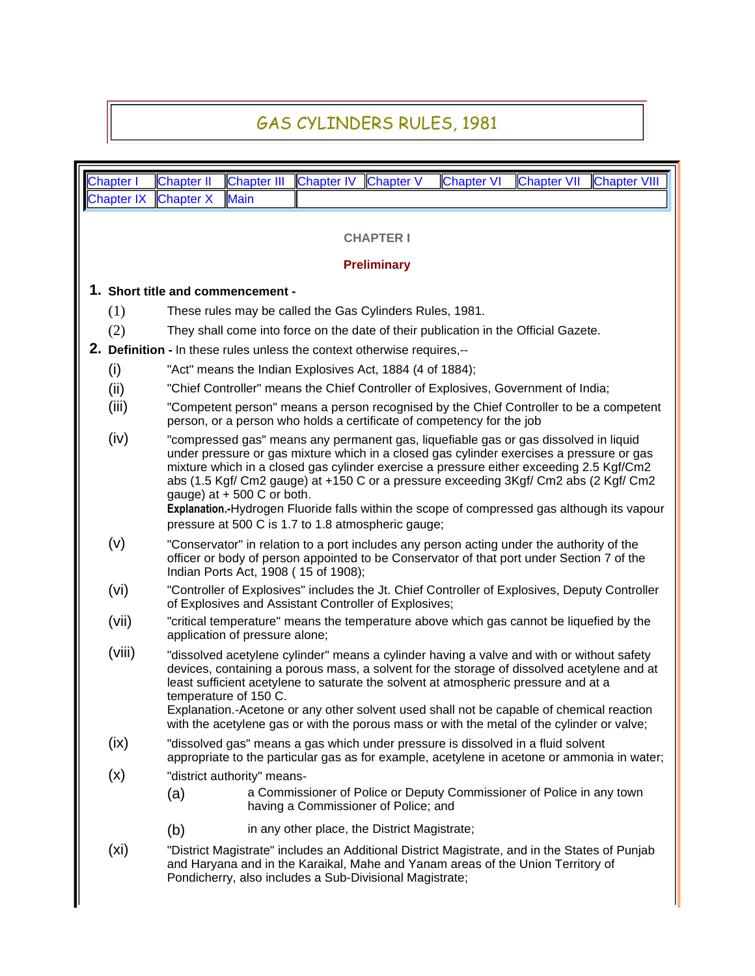## GAS CYLINDERS RULES, 1981

|                                    | Chapter I                                                                                                                                                                                                                                                                                                                                                                                                                                                                                                                                                       | <b>Chapter II</b>                                                                                                                                                                                                                                                                                                                                                                                                                                                                                 | <b>Chapter III</b>                                                                                                                                                                                                             | <b>Chapter IV</b>                                                                                             | <b>Chapter V</b>                             | <b>Chapter VI</b> | <b>Chapter VII</b><br>Chapter VIII |  |  |  |  |  |  |  |
|------------------------------------|-----------------------------------------------------------------------------------------------------------------------------------------------------------------------------------------------------------------------------------------------------------------------------------------------------------------------------------------------------------------------------------------------------------------------------------------------------------------------------------------------------------------------------------------------------------------|---------------------------------------------------------------------------------------------------------------------------------------------------------------------------------------------------------------------------------------------------------------------------------------------------------------------------------------------------------------------------------------------------------------------------------------------------------------------------------------------------|--------------------------------------------------------------------------------------------------------------------------------------------------------------------------------------------------------------------------------|---------------------------------------------------------------------------------------------------------------|----------------------------------------------|-------------------|------------------------------------|--|--|--|--|--|--|--|
|                                    | <b>Chapter IX</b>                                                                                                                                                                                                                                                                                                                                                                                                                                                                                                                                               | <b>Chapter X</b>                                                                                                                                                                                                                                                                                                                                                                                                                                                                                  | <b>Main</b>                                                                                                                                                                                                                    |                                                                                                               |                                              |                   |                                    |  |  |  |  |  |  |  |
|                                    | <b>CHAPTER I</b>                                                                                                                                                                                                                                                                                                                                                                                                                                                                                                                                                |                                                                                                                                                                                                                                                                                                                                                                                                                                                                                                   |                                                                                                                                                                                                                                |                                                                                                               |                                              |                   |                                    |  |  |  |  |  |  |  |
|                                    |                                                                                                                                                                                                                                                                                                                                                                                                                                                                                                                                                                 |                                                                                                                                                                                                                                                                                                                                                                                                                                                                                                   |                                                                                                                                                                                                                                |                                                                                                               | <b>Preliminary</b>                           |                   |                                    |  |  |  |  |  |  |  |
|                                    | 1. Short title and commencement -                                                                                                                                                                                                                                                                                                                                                                                                                                                                                                                               |                                                                                                                                                                                                                                                                                                                                                                                                                                                                                                   |                                                                                                                                                                                                                                |                                                                                                               |                                              |                   |                                    |  |  |  |  |  |  |  |
|                                    | (1)<br>These rules may be called the Gas Cylinders Rules, 1981.                                                                                                                                                                                                                                                                                                                                                                                                                                                                                                 |                                                                                                                                                                                                                                                                                                                                                                                                                                                                                                   |                                                                                                                                                                                                                                |                                                                                                               |                                              |                   |                                    |  |  |  |  |  |  |  |
|                                    | (2)<br>They shall come into force on the date of their publication in the Official Gazete.                                                                                                                                                                                                                                                                                                                                                                                                                                                                      |                                                                                                                                                                                                                                                                                                                                                                                                                                                                                                   |                                                                                                                                                                                                                                |                                                                                                               |                                              |                   |                                    |  |  |  |  |  |  |  |
|                                    | 2. Definition - In these rules unless the context otherwise requires,--                                                                                                                                                                                                                                                                                                                                                                                                                                                                                         |                                                                                                                                                                                                                                                                                                                                                                                                                                                                                                   |                                                                                                                                                                                                                                |                                                                                                               |                                              |                   |                                    |  |  |  |  |  |  |  |
|                                    | (i)<br>"Act" means the Indian Explosives Act, 1884 (4 of 1884);                                                                                                                                                                                                                                                                                                                                                                                                                                                                                                 |                                                                                                                                                                                                                                                                                                                                                                                                                                                                                                   |                                                                                                                                                                                                                                |                                                                                                               |                                              |                   |                                    |  |  |  |  |  |  |  |
|                                    | (ii)                                                                                                                                                                                                                                                                                                                                                                                                                                                                                                                                                            | "Chief Controller" means the Chief Controller of Explosives, Government of India;                                                                                                                                                                                                                                                                                                                                                                                                                 |                                                                                                                                                                                                                                |                                                                                                               |                                              |                   |                                    |  |  |  |  |  |  |  |
|                                    | (iii)<br>"Competent person" means a person recognised by the Chief Controller to be a competent<br>person, or a person who holds a certificate of competency for the job                                                                                                                                                                                                                                                                                                                                                                                        |                                                                                                                                                                                                                                                                                                                                                                                                                                                                                                   |                                                                                                                                                                                                                                |                                                                                                               |                                              |                   |                                    |  |  |  |  |  |  |  |
|                                    | (iv)<br>"compressed gas" means any permanent gas, liquefiable gas or gas dissolved in liquid<br>under pressure or gas mixture which in a closed gas cylinder exercises a pressure or gas<br>mixture which in a closed gas cylinder exercise a pressure either exceeding 2.5 Kgf/Cm2<br>abs (1.5 Kgf/ Cm2 gauge) at +150 C or a pressure exceeding 3Kgf/ Cm2 abs (2 Kgf/ Cm2<br>gauge) at $+500$ C or both.<br>Explanation.-Hydrogen Fluoride falls within the scope of compressed gas although its vapour<br>pressure at 500 C is 1.7 to 1.8 atmospheric gauge; |                                                                                                                                                                                                                                                                                                                                                                                                                                                                                                   |                                                                                                                                                                                                                                |                                                                                                               |                                              |                   |                                    |  |  |  |  |  |  |  |
|                                    | (v)                                                                                                                                                                                                                                                                                                                                                                                                                                                                                                                                                             |                                                                                                                                                                                                                                                                                                                                                                                                                                                                                                   | "Conservator" in relation to a port includes any person acting under the authority of the<br>officer or body of person appointed to be Conservator of that port under Section 7 of the<br>Indian Ports Act, 1908 (15 of 1908); |                                                                                                               |                                              |                   |                                    |  |  |  |  |  |  |  |
|                                    | (vi)                                                                                                                                                                                                                                                                                                                                                                                                                                                                                                                                                            |                                                                                                                                                                                                                                                                                                                                                                                                                                                                                                   | "Controller of Explosives" includes the Jt. Chief Controller of Explosives, Deputy Controller<br>of Explosives and Assistant Controller of Explosives;                                                                         |                                                                                                               |                                              |                   |                                    |  |  |  |  |  |  |  |
|                                    | (vii)                                                                                                                                                                                                                                                                                                                                                                                                                                                                                                                                                           |                                                                                                                                                                                                                                                                                                                                                                                                                                                                                                   | "critical temperature" means the temperature above which gas cannot be liquefied by the<br>application of pressure alone;                                                                                                      |                                                                                                               |                                              |                   |                                    |  |  |  |  |  |  |  |
|                                    | (viii)                                                                                                                                                                                                                                                                                                                                                                                                                                                                                                                                                          | "dissolved acetylene cylinder" means a cylinder having a valve and with or without safety<br>devices, containing a porous mass, a solvent for the storage of dissolved acetylene and at<br>least sufficient acetylene to saturate the solvent at atmospheric pressure and at a<br>temperature of 150 C.<br>Explanation.-Acetone or any other solvent used shall not be capable of chemical reaction<br>with the acetylene gas or with the porous mass or with the metal of the cylinder or valve; |                                                                                                                                                                                                                                |                                                                                                               |                                              |                   |                                    |  |  |  |  |  |  |  |
|                                    | (ix)                                                                                                                                                                                                                                                                                                                                                                                                                                                                                                                                                            | "dissolved gas" means a gas which under pressure is dissolved in a fluid solvent<br>appropriate to the particular gas as for example, acetylene in acetone or ammonia in water;                                                                                                                                                                                                                                                                                                                   |                                                                                                                                                                                                                                |                                                                                                               |                                              |                   |                                    |  |  |  |  |  |  |  |
| (x)<br>"district authority" means- |                                                                                                                                                                                                                                                                                                                                                                                                                                                                                                                                                                 |                                                                                                                                                                                                                                                                                                                                                                                                                                                                                                   |                                                                                                                                                                                                                                |                                                                                                               |                                              |                   |                                    |  |  |  |  |  |  |  |
|                                    |                                                                                                                                                                                                                                                                                                                                                                                                                                                                                                                                                                 | (a)                                                                                                                                                                                                                                                                                                                                                                                                                                                                                               |                                                                                                                                                                                                                                | a Commissioner of Police or Deputy Commissioner of Police in any town<br>having a Commissioner of Police; and |                                              |                   |                                    |  |  |  |  |  |  |  |
| (b)                                |                                                                                                                                                                                                                                                                                                                                                                                                                                                                                                                                                                 |                                                                                                                                                                                                                                                                                                                                                                                                                                                                                                   |                                                                                                                                                                                                                                |                                                                                                               | in any other place, the District Magistrate; |                   |                                    |  |  |  |  |  |  |  |
|                                    | (x <sub>i</sub> )<br>"District Magistrate" includes an Additional District Magistrate, and in the States of Punjab<br>and Haryana and in the Karaikal, Mahe and Yanam areas of the Union Territory of<br>Pondicherry, also includes a Sub-Divisional Magistrate;                                                                                                                                                                                                                                                                                                |                                                                                                                                                                                                                                                                                                                                                                                                                                                                                                   |                                                                                                                                                                                                                                |                                                                                                               |                                              |                   |                                    |  |  |  |  |  |  |  |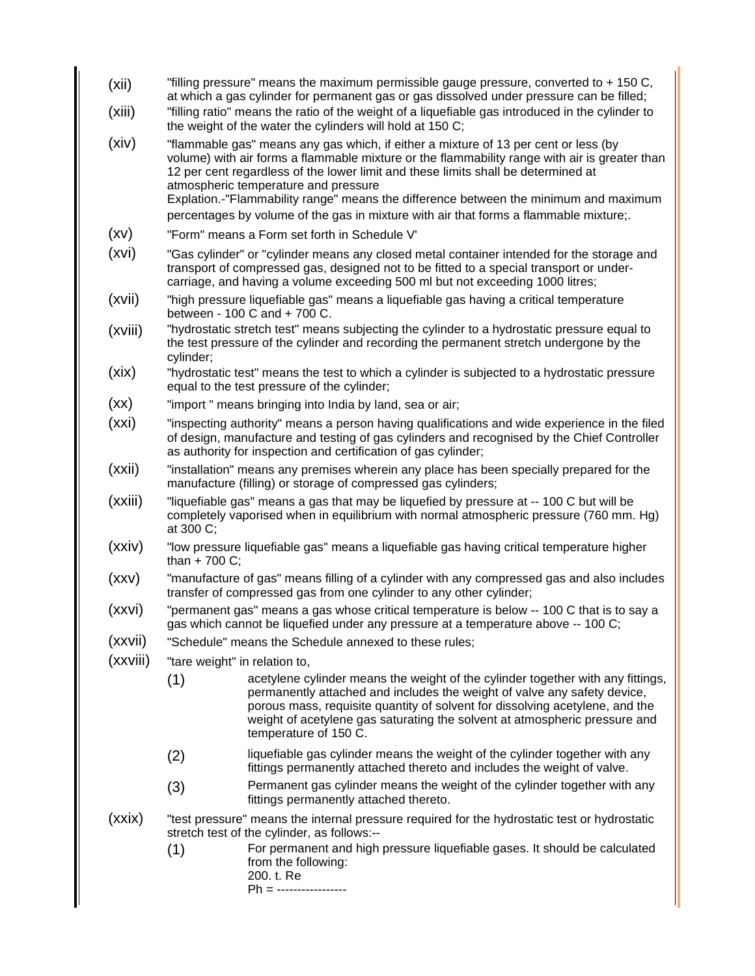- (xii) "filling pressure" means the maximum permissible gauge pressure, converted to + 150 C, at which a gas cylinder for permanent gas or gas dissolved under pressure can be filled;
- (xiii) "filling ratio" means the ratio of the weight of a liquefiable gas introduced in the cylinder to the weight of the water the cylinders will hold at 150 C;
- (xiv) "flammable gas" means any gas which, if either a mixture of 13 per cent or less (by volume) with air forms a flammable mixture or the flammability range with air is greater than 12 per cent regardless of the lower limit and these limits shall be determined at atmospheric temperature and pressure Explation.-"Flammability range" means the difference between the minimum and maximum percentages by volume of the gas in mixture with air that forms a flammable mixture;.
- (xv) "Form" means a Form set forth in Schedule V'
- (xvi) "Gas cylinder" or "cylinder means any closed metal container intended for the storage and transport of compressed gas, designed not to be fitted to a special transport or undercarriage, and having a volume exceeding 500 ml but not exceeding 1000 litres;
- (xvii) "high pressure liquefiable gas" means a liquefiable gas having a critical temperature between - 100 C and + 700 C.
- (xviii) "hydrostatic stretch test" means subjecting the cylinder to a hydrostatic pressure equal to the test pressure of the cylinder and recording the permanent stretch undergone by the cylinder;
- (xix) "hydrostatic test" means the test to which a cylinder is subjected to a hydrostatic pressure equal to the test pressure of the cylinder;
- (xx) "import " means bringing into India by land, sea or air;
- (xxi) "inspecting authority" means a person having qualifications and wide experience in the filed of design, manufacture and testing of gas cylinders and recognised by the Chief Controller as authority for inspection and certification of gas cylinder;
- (xxii) "installation" means any premises wherein any place has been specially prepared for the manufacture (filling) or storage of compressed gas cylinders;
- (xxiii) "liquefiable gas" means a gas that may be liquefied by pressure at -- 100 C but will be completely vaporised when in equilibrium with normal atmospheric pressure (760 mm. Hg) at 300 C;
- (xxiv) "low pressure liquefiable gas" means a liquefiable gas having critical temperature higher than  $+ 700$  C;
- (xxv) "manufacture of gas" means filling of a cylinder with any compressed gas and also includes transfer of compressed gas from one cylinder to any other cylinder;
- (xxvi) "permanent gas" means a gas whose critical temperature is below -- 100 C that is to say a gas which cannot be liquefied under any pressure at a temperature above -- 100 C;
- (xxvii) "Schedule" means the Schedule annexed to these rules;
- (xxviii) "tare weight" in relation to,
	- (1) acetylene cylinder means the weight of the cylinder together with any fittings, permanently attached and includes the weight of valve any safety device, porous mass, requisite quantity of solvent for dissolving acetylene, and the weight of acetylene gas saturating the solvent at atmospheric pressure and temperature of 150 C.
	- (2) liquefiable gas cylinder means the weight of the cylinder together with any fittings permanently attached thereto and includes the weight of valve.
	- (3) Permanent gas cylinder means the weight of the cylinder together with any fittings permanently attached thereto.
- (xxix) "test pressure" means the internal pressure required for the hydrostatic test or hydrostatic stretch test of the cylinder, as follows:--
	- (1) For permanent and high pressure liquefiable gases. It should be calculated from the following:
		- 200. t. Re

Ph = -----------------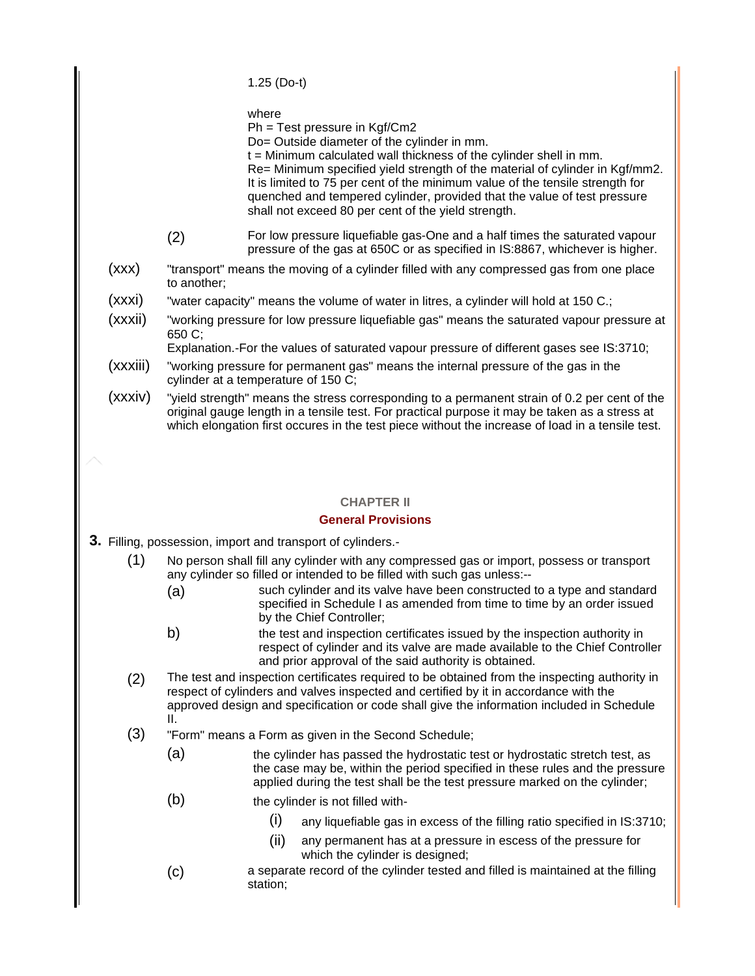1.25 (Do-t)

where

Ph = Test pressure in Kgf/Cm2

Do= Outside diameter of the cylinder in mm.

t = Minimum calculated wall thickness of the cylinder shell in mm. Re= Minimum specified yield strength of the material of cylinder in Kgf/mm2. It is limited to 75 per cent of the minimum value of the tensile strength for quenched and tempered cylinder, provided that the value of test pressure shall not exceed 80 per cent of the yield strength.

- (2) For low pressure liquefiable gas-One and a half times the saturated vapour pressure of the gas at 650C or as specified in IS:8867, whichever is higher.
- (xxx) "transport" means the moving of a cylinder filled with any compressed gas from one place to another;
- (xxxi) "water capacity" means the volume of water in litres, a cylinder will hold at 150 C.;
- (xxxii) "working pressure for low pressure liquefiable gas" means the saturated vapour pressure at 650 C;

Explanation.-For the values of saturated vapour pressure of different gases see IS:3710;

- (xxxiii) "working pressure for permanent gas" means the internal pressure of the gas in the cylinder at a temperature of 150 C;
- (xxxiv) "yield strength" means the stress corresponding to a permanent strain of 0.2 per cent of the original gauge length in a tensile test. For practical purpose it may be taken as a stress at which elongation first occures in the test piece without the increase of load in a tensile test.

## **CHAPTER II**

## **General Provisions**

- **3.** Filling, possession, import and transport of cylinders.-
	- (1) No person shall fill any cylinder with any compressed gas or import, possess or transport any cylinder so filled or intended to be filled with such gas unless:--
		- (a) such cylinder and its valve have been constructed to a type and standard specified in Schedule I as amended from time to time by an order issued by the Chief Controller;
		- b) the test and inspection certificates issued by the inspection authority in respect of cylinder and its valve are made available to the Chief Controller and prior approval of the said authority is obtained.
	- (2) The test and inspection certificates required to be obtained from the inspecting authority in respect of cylinders and valves inspected and certified by it in accordance with the approved design and specification or code shall give the information included in Schedule II.
	- (3) "Form" means a Form as given in the Second Schedule;
		- (a) the cylinder has passed the hydrostatic test or hydrostatic stretch test, as the case may be, within the period specified in these rules and the pressure applied during the test shall be the test pressure marked on the cylinder;
		- (b) the cylinder is not filled with-
			- (i) any liquefiable gas in excess of the filling ratio specified in IS:3710;
			- (ii) any permanent has at a pressure in escess of the pressure for which the cylinder is designed;
		- (c) a separate record of the cylinder tested and filled is maintained at the filling station;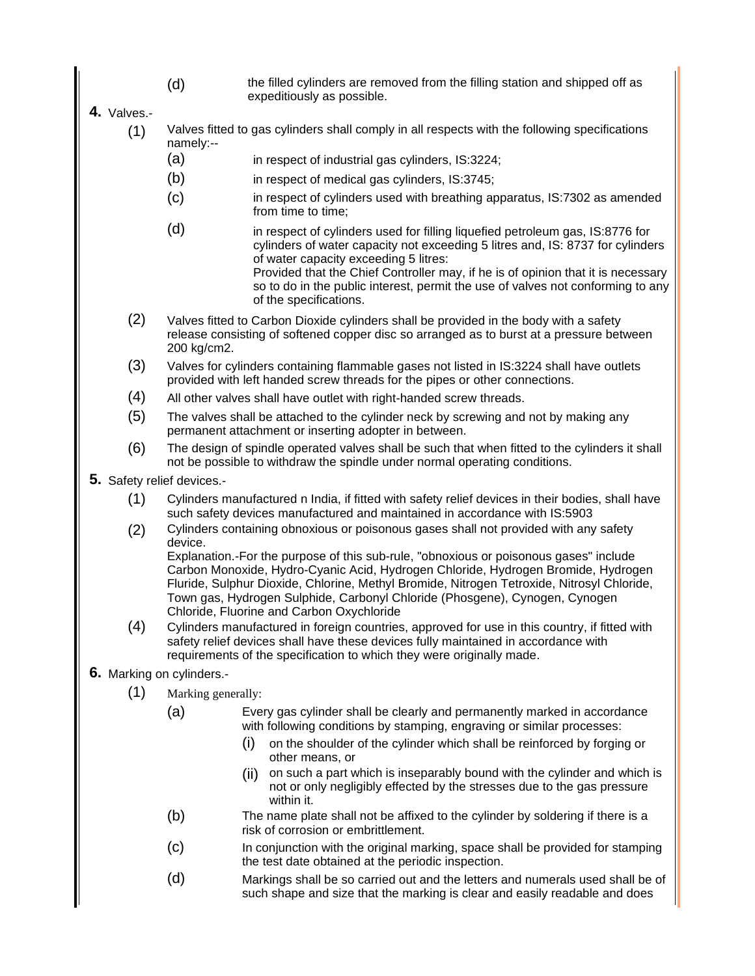- (d) the filled cylinders are removed from the filling station and shipped off as expeditiously as possible.
- **4.** Valves.-
	- (1) Valves fitted to gas cylinders shall comply in all respects with the following specifications namely:--
		- (a) in respect of industrial gas cylinders, IS:3224;
		- (b) in respect of medical gas cylinders, IS:3745;
		- (c) in respect of cylinders used with breathing apparatus, IS:7302 as amended from time to time;
		- (d) in respect of cylinders used for filling liquefied petroleum gas, IS:8776 for cylinders of water capacity not exceeding 5 litres and, IS: 8737 for cylinders of water capacity exceeding 5 litres:

Provided that the Chief Controller may, if he is of opinion that it is necessary so to do in the public interest, permit the use of valves not conforming to any of the specifications.

- (2) Valves fitted to Carbon Dioxide cylinders shall be provided in the body with a safety release consisting of softened copper disc so arranged as to burst at a pressure between 200 kg/cm2.
- (3) Valves for cylinders containing flammable gases not listed in IS:3224 shall have outlets provided with left handed screw threads for the pipes or other connections.
- (4) All other valves shall have outlet with right-handed screw threads.
- (5) The valves shall be attached to the cylinder neck by screwing and not by making any permanent attachment or inserting adopter in between.
- (6) The design of spindle operated valves shall be such that when fitted to the cylinders it shall not be possible to withdraw the spindle under normal operating conditions.
- **5.** Safety relief devices.-
	- (1) Cylinders manufactured n India, if fitted with safety relief devices in their bodies, shall have such safety devices manufactured and maintained in accordance with IS:5903
	- (2) Cylinders containing obnoxious or poisonous gases shall not provided with any safety device.

Explanation.-For the purpose of this sub-rule, "obnoxious or poisonous gases" include Carbon Monoxide, Hydro-Cyanic Acid, Hydrogen Chloride, Hydrogen Bromide, Hydrogen Fluride, Sulphur Dioxide, Chlorine, Methyl Bromide, Nitrogen Tetroxide, Nitrosyl Chloride, Town gas, Hydrogen Sulphide, Carbonyl Chloride (Phosgene), Cynogen, Cynogen Chloride, Fluorine and Carbon Oxychloride

(4) Cylinders manufactured in foreign countries, approved for use in this country, if fitted with safety relief devices shall have these devices fully maintained in accordance with requirements of the specification to which they were originally made.

## **6.** Marking on cylinders.-

- (1) Marking generally:
	- (a) Every gas cylinder shall be clearly and permanently marked in accordance with following conditions by stamping, engraving or similar processes:
		- (i) on the shoulder of the cylinder which shall be reinforced by forging or other means, or
		- (ii) on such a part which is inseparably bound with the cylinder and which is not or only negligibly effected by the stresses due to the gas pressure within it.
	- (b) The name plate shall not be affixed to the cylinder by soldering if there is a risk of corrosion or embrittlement.
	- (c) In conjunction with the original marking, space shall be provided for stamping the test date obtained at the periodic inspection.
	- (d) Markings shall be so carried out and the letters and numerals used shall be of such shape and size that the marking is clear and easily readable and does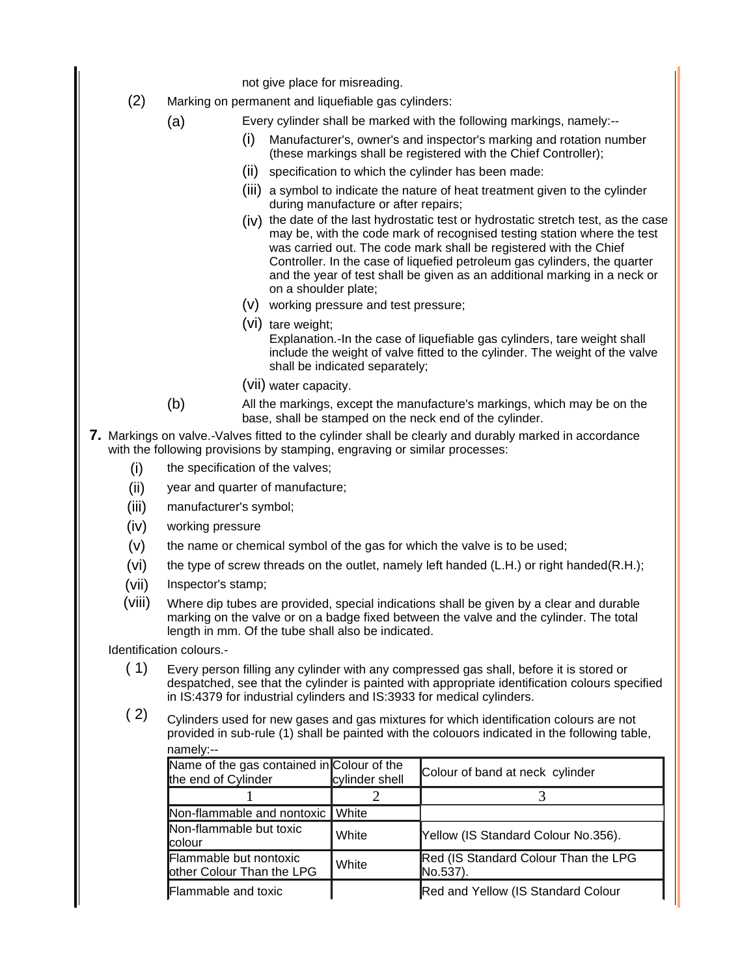not give place for misreading.

- (2) Marking on permanent and liquefiable gas cylinders:
	- (a) Every cylinder shall be marked with the following markings, namely:--
		- Manufacturer's, owner's and inspector's marking and rotation number (these markings shall be registered with the Chief Controller);
		- (ii) specification to which the cylinder has been made:
		- (iii) a symbol to indicate the nature of heat treatment given to the cylinder during manufacture or after repairs;
		- (iv) the date of the last hydrostatic test or hydrostatic stretch test, as the case may be, with the code mark of recognised testing station where the test was carried out. The code mark shall be registered with the Chief Controller. In the case of liquefied petroleum gas cylinders, the quarter and the year of test shall be given as an additional marking in a neck or on a shoulder plate;
		- (v) working pressure and test pressure;
		- (vi) tare weight; Explanation.-In the case of liquefiable gas cylinders, tare weight shall include the weight of valve fitted to the cylinder. The weight of the valve shall be indicated separately;
		- (vii) water capacity.
	- (b) All the markings, except the manufacture's markings, which may be on the base, shall be stamped on the neck end of the cylinder.
- **7.** Markings on valve.-Valves fitted to the cylinder shall be clearly and durably marked in accordance with the following provisions by stamping, engraving or similar processes:
	- (i) the specification of the valves;
	- (ii) year and quarter of manufacture;
	- (iii) manufacturer's symbol;
	- (iv) working pressure
	- (v) the name or chemical symbol of the gas for which the valve is to be used;
	- (vi) the type of screw threads on the outlet, namely left handed (L.H.) or right handed(R.H.);
	- (vii) Inspector's stamp;
	- (viii) Where dip tubes are provided, special indications shall be given by a clear and durable marking on the valve or on a badge fixed between the valve and the cylinder. The total length in mm. Of the tube shall also be indicated.

Identification colours.-

- ( 1) Every person filling any cylinder with any compressed gas shall, before it is stored or despatched, see that the cylinder is painted with appropriate identification colours specified in IS:4379 for industrial cylinders and IS:3933 for medical cylinders.
- $(2)$  Cylinders used for new gases and gas mixtures for which identification colours are not provided in sub-rule (1) shall be painted with the colouors indicated in the following table, namely:--

| Name of the gas contained in Colour of the<br>the end of Cylinder | cylinder shell | Colour of band at neck cylinder                  |
|-------------------------------------------------------------------|----------------|--------------------------------------------------|
|                                                                   |                |                                                  |
| Non-flammable and nontoxic                                        | l White        |                                                  |
| Non-flammable but toxic<br>lcolour                                | White          | Yellow (IS Standard Colour No.356).              |
| Flammable but nontoxic<br>other Colour Than the LPG               | White          | Red (IS Standard Colour Than the LPG<br>No.537). |
| Flammable and toxic                                               |                | Red and Yellow (IS Standard Colour               |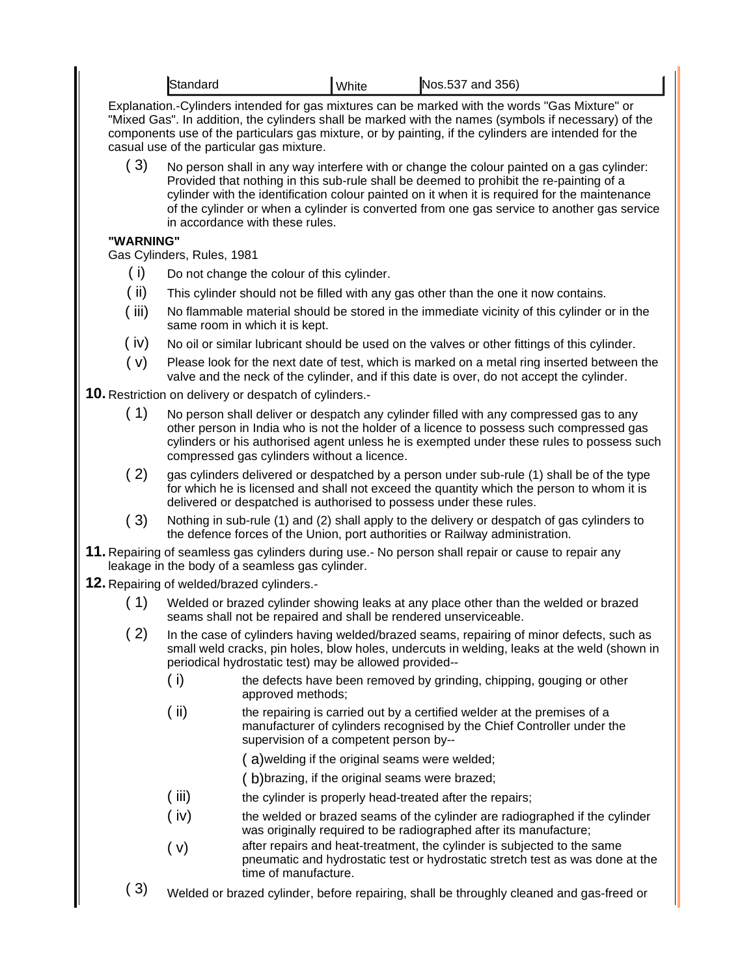|                                                        | Standard                                                                                                                                                                                                                                                                                                                                                                                                                |                                                                                                                                                          | White                                                                                                                                                                                                                                             | Nos.537 and 356)                                                                                                                                                                                                                                                                                               |  |  |  |  |  |  |
|--------------------------------------------------------|-------------------------------------------------------------------------------------------------------------------------------------------------------------------------------------------------------------------------------------------------------------------------------------------------------------------------------------------------------------------------------------------------------------------------|----------------------------------------------------------------------------------------------------------------------------------------------------------|---------------------------------------------------------------------------------------------------------------------------------------------------------------------------------------------------------------------------------------------------|----------------------------------------------------------------------------------------------------------------------------------------------------------------------------------------------------------------------------------------------------------------------------------------------------------------|--|--|--|--|--|--|
|                                                        | casual use of the particular gas mixture.                                                                                                                                                                                                                                                                                                                                                                               |                                                                                                                                                          |                                                                                                                                                                                                                                                   | Explanation.-Cylinders intended for gas mixtures can be marked with the words "Gas Mixture" or<br>"Mixed Gas". In addition, the cylinders shall be marked with the names (symbols if necessary) of the<br>components use of the particulars gas mixture, or by painting, if the cylinders are intended for the |  |  |  |  |  |  |
| (3)                                                    | No person shall in any way interfere with or change the colour painted on a gas cylinder:<br>Provided that nothing in this sub-rule shall be deemed to prohibit the re-painting of a<br>cylinder with the identification colour painted on it when it is required for the maintenance<br>of the cylinder or when a cylinder is converted from one gas service to another gas service<br>in accordance with these rules. |                                                                                                                                                          |                                                                                                                                                                                                                                                   |                                                                                                                                                                                                                                                                                                                |  |  |  |  |  |  |
| "WARNING"                                              |                                                                                                                                                                                                                                                                                                                                                                                                                         |                                                                                                                                                          |                                                                                                                                                                                                                                                   |                                                                                                                                                                                                                                                                                                                |  |  |  |  |  |  |
| Gas Cylinders, Rules, 1981                             |                                                                                                                                                                                                                                                                                                                                                                                                                         |                                                                                                                                                          |                                                                                                                                                                                                                                                   |                                                                                                                                                                                                                                                                                                                |  |  |  |  |  |  |
| (i)                                                    |                                                                                                                                                                                                                                                                                                                                                                                                                         |                                                                                                                                                          | Do not change the colour of this cylinder.                                                                                                                                                                                                        |                                                                                                                                                                                                                                                                                                                |  |  |  |  |  |  |
| (i)                                                    |                                                                                                                                                                                                                                                                                                                                                                                                                         | This cylinder should not be filled with any gas other than the one it now contains.                                                                      |                                                                                                                                                                                                                                                   |                                                                                                                                                                                                                                                                                                                |  |  |  |  |  |  |
| (iii)                                                  |                                                                                                                                                                                                                                                                                                                                                                                                                         | same room in which it is kept.                                                                                                                           |                                                                                                                                                                                                                                                   | No flammable material should be stored in the immediate vicinity of this cylinder or in the                                                                                                                                                                                                                    |  |  |  |  |  |  |
| (iv)                                                   |                                                                                                                                                                                                                                                                                                                                                                                                                         |                                                                                                                                                          |                                                                                                                                                                                                                                                   | No oil or similar lubricant should be used on the valves or other fittings of this cylinder.                                                                                                                                                                                                                   |  |  |  |  |  |  |
| (v)                                                    |                                                                                                                                                                                                                                                                                                                                                                                                                         |                                                                                                                                                          |                                                                                                                                                                                                                                                   | Please look for the next date of test, which is marked on a metal ring inserted between the<br>valve and the neck of the cylinder, and if this date is over, do not accept the cylinder.                                                                                                                       |  |  |  |  |  |  |
| 10. Restriction on delivery or despatch of cylinders.- |                                                                                                                                                                                                                                                                                                                                                                                                                         |                                                                                                                                                          |                                                                                                                                                                                                                                                   |                                                                                                                                                                                                                                                                                                                |  |  |  |  |  |  |
| (1)                                                    |                                                                                                                                                                                                                                                                                                                                                                                                                         |                                                                                                                                                          | compressed gas cylinders without a licence.                                                                                                                                                                                                       | No person shall deliver or despatch any cylinder filled with any compressed gas to any<br>other person in India who is not the holder of a licence to possess such compressed gas<br>cylinders or his authorised agent unless he is exempted under these rules to possess such                                 |  |  |  |  |  |  |
| (2)                                                    | gas cylinders delivered or despatched by a person under sub-rule (1) shall be of the type<br>for which he is licensed and shall not exceed the quantity which the person to whom it is<br>delivered or despatched is authorised to possess under these rules.                                                                                                                                                           |                                                                                                                                                          |                                                                                                                                                                                                                                                   |                                                                                                                                                                                                                                                                                                                |  |  |  |  |  |  |
| (3)                                                    |                                                                                                                                                                                                                                                                                                                                                                                                                         |                                                                                                                                                          |                                                                                                                                                                                                                                                   | Nothing in sub-rule (1) and (2) shall apply to the delivery or despatch of gas cylinders to<br>the defence forces of the Union, port authorities or Railway administration.                                                                                                                                    |  |  |  |  |  |  |
|                                                        | leakage in the body of a seamless gas cylinder.                                                                                                                                                                                                                                                                                                                                                                         |                                                                                                                                                          |                                                                                                                                                                                                                                                   | <b>11.</b> Repairing of seamless gas cylinders during use.- No person shall repair or cause to repair any                                                                                                                                                                                                      |  |  |  |  |  |  |
| <b>12.</b> Repairing of welded/brazed cylinders.-      |                                                                                                                                                                                                                                                                                                                                                                                                                         |                                                                                                                                                          |                                                                                                                                                                                                                                                   |                                                                                                                                                                                                                                                                                                                |  |  |  |  |  |  |
| (1)                                                    |                                                                                                                                                                                                                                                                                                                                                                                                                         | Welded or brazed cylinder showing leaks at any place other than the welded or brazed<br>seams shall not be repaired and shall be rendered unserviceable. |                                                                                                                                                                                                                                                   |                                                                                                                                                                                                                                                                                                                |  |  |  |  |  |  |
| (2)                                                    |                                                                                                                                                                                                                                                                                                                                                                                                                         |                                                                                                                                                          | In the case of cylinders having welded/brazed seams, repairing of minor defects, such as<br>small weld cracks, pin holes, blow holes, undercuts in welding, leaks at the weld (shown in<br>periodical hydrostatic test) may be allowed provided-- |                                                                                                                                                                                                                                                                                                                |  |  |  |  |  |  |
|                                                        | (i)                                                                                                                                                                                                                                                                                                                                                                                                                     | approved methods;                                                                                                                                        |                                                                                                                                                                                                                                                   | the defects have been removed by grinding, chipping, gouging or other                                                                                                                                                                                                                                          |  |  |  |  |  |  |
|                                                        | (i)                                                                                                                                                                                                                                                                                                                                                                                                                     |                                                                                                                                                          | supervision of a competent person by--                                                                                                                                                                                                            | the repairing is carried out by a certified welder at the premises of a<br>manufacturer of cylinders recognised by the Chief Controller under the                                                                                                                                                              |  |  |  |  |  |  |
|                                                        |                                                                                                                                                                                                                                                                                                                                                                                                                         |                                                                                                                                                          |                                                                                                                                                                                                                                                   | (a) welding if the original seams were welded;                                                                                                                                                                                                                                                                 |  |  |  |  |  |  |
|                                                        |                                                                                                                                                                                                                                                                                                                                                                                                                         |                                                                                                                                                          |                                                                                                                                                                                                                                                   | (b) brazing, if the original seams were brazed;                                                                                                                                                                                                                                                                |  |  |  |  |  |  |

- (iii) the cylinder is properly head-treated after the repairs;
- ( iv) the welded or brazed seams of the cylinder are radiographed if the cylinder was originally required to be radiographed after its manufacture;
- ( v) after repairs and heat-treatment, the cylinder is subjected to the same pneumatic and hydrostatic test or hydrostatic stretch test as was done at the time of manufacture.
- ( 3) Welded or brazed cylinder, before repairing, shall be throughly cleaned and gas-freed or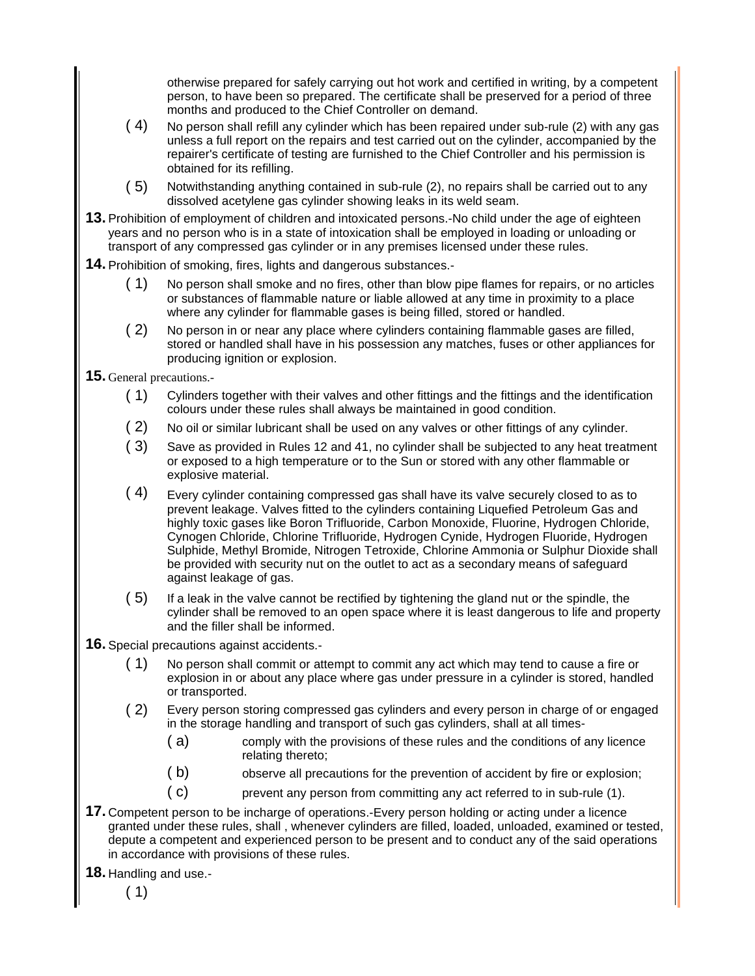otherwise prepared for safely carrying out hot work and certified in writing, by a competent person, to have been so prepared. The certificate shall be preserved for a period of three months and produced to the Chief Controller on demand.

- ( 4) No person shall refill any cylinder which has been repaired under sub-rule (2) with any gas unless a full report on the repairs and test carried out on the cylinder, accompanied by the repairer's certificate of testing are furnished to the Chief Controller and his permission is obtained for its refilling.
- ( 5) Notwithstanding anything contained in sub-rule (2), no repairs shall be carried out to any dissolved acetylene gas cylinder showing leaks in its weld seam.
- **13.** Prohibition of employment of children and intoxicated persons.-No child under the age of eighteen years and no person who is in a state of intoxication shall be employed in loading or unloading or transport of any compressed gas cylinder or in any premises licensed under these rules.
- **14.** Prohibition of smoking, fires, lights and dangerous substances.-
	- ( 1) No person shall smoke and no fires, other than blow pipe flames for repairs, or no articles or substances of flammable nature or liable allowed at any time in proximity to a place where any cylinder for flammable gases is being filled, stored or handled.
	- ( 2) No person in or near any place where cylinders containing flammable gases are filled, stored or handled shall have in his possession any matches, fuses or other appliances for producing ignition or explosion.
- **15.** General precautions.-
	- ( 1) Cylinders together with their valves and other fittings and the fittings and the identification colours under these rules shall always be maintained in good condition.
	- ( 2) No oil or similar lubricant shall be used on any valves or other fittings of any cylinder.
	- ( 3) Save as provided in Rules 12 and 41, no cylinder shall be subjected to any heat treatment or exposed to a high temperature or to the Sun or stored with any other flammable or explosive material.
	- $(4)$  Every cylinder containing compressed gas shall have its valve securely closed to as to prevent leakage. Valves fitted to the cylinders containing Liquefied Petroleum Gas and highly toxic gases like Boron Trifluoride, Carbon Monoxide, Fluorine, Hydrogen Chloride, Cynogen Chloride, Chlorine Trifluoride, Hydrogen Cynide, Hydrogen Fluoride, Hydrogen Sulphide, Methyl Bromide, Nitrogen Tetroxide, Chlorine Ammonia or Sulphur Dioxide shall be provided with security nut on the outlet to act as a secondary means of safeguard against leakage of gas.
	- ( 5) If a leak in the valve cannot be rectified by tightening the gland nut or the spindle, the cylinder shall be removed to an open space where it is least dangerous to life and property and the filler shall be informed.
- **16.** Special precautions against accidents.-
	- ( 1) No person shall commit or attempt to commit any act which may tend to cause a fire or explosion in or about any place where gas under pressure in a cylinder is stored, handled or transported.
	- ( 2) Every person storing compressed gas cylinders and every person in charge of or engaged in the storage handling and transport of such gas cylinders, shall at all times-
		- ( a) comply with the provisions of these rules and the conditions of any licence relating thereto;
		- ( b) observe all precautions for the prevention of accident by fire or explosion;
		- ( c) prevent any person from committing any act referred to in sub-rule (1).
- **17.** Competent person to be incharge of operations.-Every person holding or acting under a licence granted under these rules, shall , whenever cylinders are filled, loaded, unloaded, examined or tested, depute a competent and experienced person to be present and to conduct any of the said operations in accordance with provisions of these rules.
- **18.** Handling and use.-

( 1)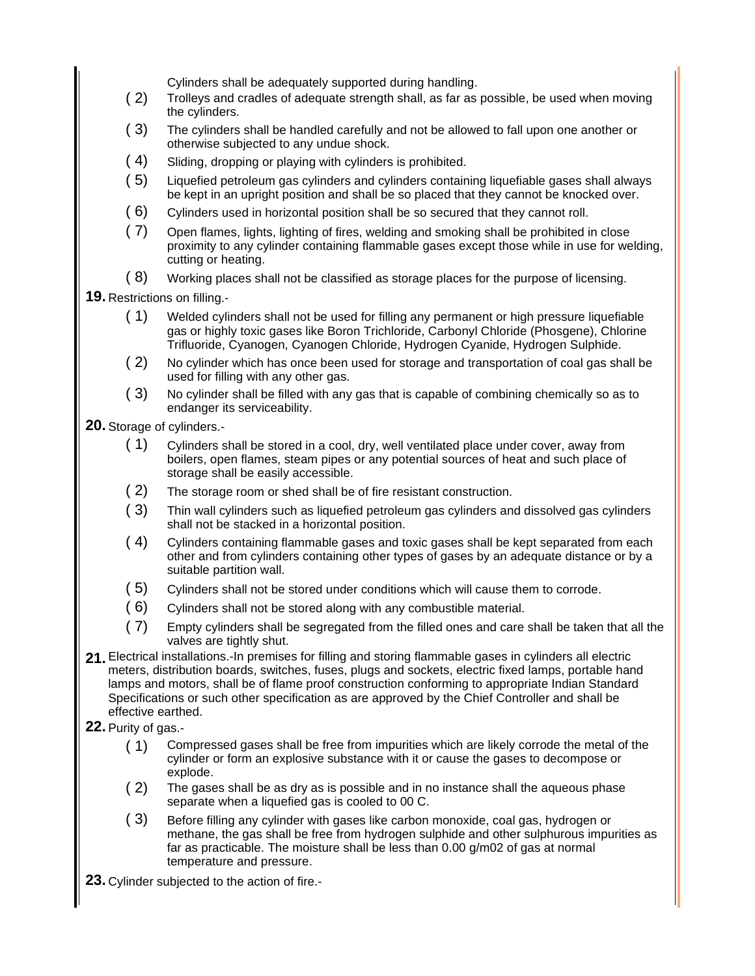Cylinders shall be adequately supported during handling.

- ( 2) Trolleys and cradles of adequate strength shall, as far as possible, be used when moving the cylinders.
- ( 3) The cylinders shall be handled carefully and not be allowed to fall upon one another or otherwise subjected to any undue shock.
- ( 4) Sliding, dropping or playing with cylinders is prohibited.
- ( 5) Liquefied petroleum gas cylinders and cylinders containing liquefiable gases shall always be kept in an upright position and shall be so placed that they cannot be knocked over.
- ( 6) Cylinders used in horizontal position shall be so secured that they cannot roll.
- ( 7) Open flames, lights, lighting of fires, welding and smoking shall be prohibited in close proximity to any cylinder containing flammable gases except those while in use for welding, cutting or heating.
- ( 8) Working places shall not be classified as storage places for the purpose of licensing.

**19.** Restrictions on filling.-

- ( 1) Welded cylinders shall not be used for filling any permanent or high pressure liquefiable gas or highly toxic gases like Boron Trichloride, Carbonyl Chloride (Phosgene), Chlorine Trifluoride, Cyanogen, Cyanogen Chloride, Hydrogen Cyanide, Hydrogen Sulphide.
- ( 2) No cylinder which has once been used for storage and transportation of coal gas shall be used for filling with any other gas.
- ( 3) No cylinder shall be filled with any gas that is capable of combining chemically so as to endanger its serviceability.

**20.** Storage of cylinders.-

- ( 1) Cylinders shall be stored in a cool, dry, well ventilated place under cover, away from boilers, open flames, steam pipes or any potential sources of heat and such place of storage shall be easily accessible.
- ( 2) The storage room or shed shall be of fire resistant construction.
- ( 3) Thin wall cylinders such as liquefied petroleum gas cylinders and dissolved gas cylinders shall not be stacked in a horizontal position.
- ( 4) Cylinders containing flammable gases and toxic gases shall be kept separated from each other and from cylinders containing other types of gases by an adequate distance or by a suitable partition wall.
- ( 5) Cylinders shall not be stored under conditions which will cause them to corrode.
- ( 6) Cylinders shall not be stored along with any combustible material.
- ( 7) Empty cylinders shall be segregated from the filled ones and care shall be taken that all the valves are tightly shut.
- **21.** Electrical installations.-In premises for filling and storing flammable gases in cylinders all electric meters, distribution boards, switches, fuses, plugs and sockets, electric fixed lamps, portable hand lamps and motors, shall be of flame proof construction conforming to appropriate Indian Standard Specifications or such other specification as are approved by the Chief Controller and shall be effective earthed.
- **22.** Purity of gas.-
	- ( 1) Compressed gases shall be free from impurities which are likely corrode the metal of the cylinder or form an explosive substance with it or cause the gases to decompose or explode.
	- ( 2) The gases shall be as dry as is possible and in no instance shall the aqueous phase separate when a liquefied gas is cooled to 00 C.
	- ( 3) Before filling any cylinder with gases like carbon monoxide, coal gas, hydrogen or methane, the gas shall be free from hydrogen sulphide and other sulphurous impurities as far as practicable. The moisture shall be less than 0.00 g/m02 of gas at normal temperature and pressure.
- **23.** Cylinder subjected to the action of fire.-